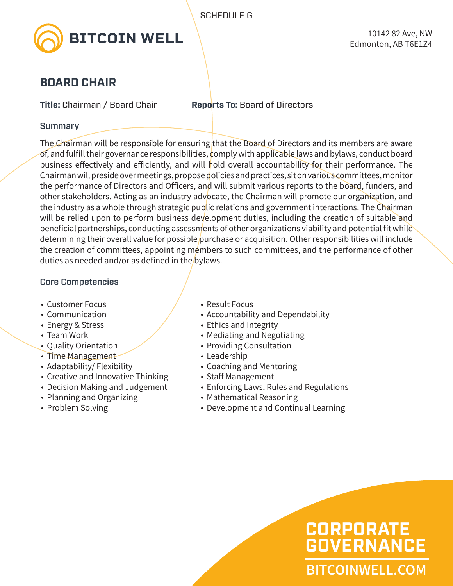

## **BOARD CHAIR**

**Title:** Chairman / Board Chair **Reports To:** Board of Directors

#### Summary

The Chairman will be responsible for ensuring that the Board of Directors and its members are aware of, and fulfill their governance responsibilities, comply with applicable laws and bylaws, conduct board business effectively and efficiently, and will hold overall accountability for their performance. The Chairman will preside over meetings, propose policies and practices, sit on various committees, monitor the performance of Directors and Officers, and will submit various reports to the board, funders, and other stakeholders. Acting as an industry advocate, the Chairman will promote our organization, and the industry as a whole through strategic public relations and government interactions. The Chairman will be relied upon to perform business development duties, including the creation of suitable and beneficial partnerships, conducting assessments of other organizations viability and potential fit while determining their overall value for possible purchase or acquisition. Other responsibilities will include the creation of committees, appointing members to such committees, and the performance of other duties as needed and/or as defined in the bylaws.

### Core Competencies

- Customer Focus
- Communication
- Energy & Stress
- Team Work
- Quality Orientation
- Time Management
- Adaptability/ Flexibility
- Creative and Innovative Thinking
- Decision Making and Judgement
- Planning and Organizing
- Problem Solving
- Result Focus
- Accountability and Dependability
- Ethics and Integrity
- Mediating and Negotiating
- Providing Consultation
- Leadership
- Coaching and Mentoring
- Staff Management
- Enforcing Laws, Rules and Regulations
- Mathematical Reasoning
- Development and Continual Learning

**BITCOINWELL.COM**

**GOVERNANCE**

**CORPORATE**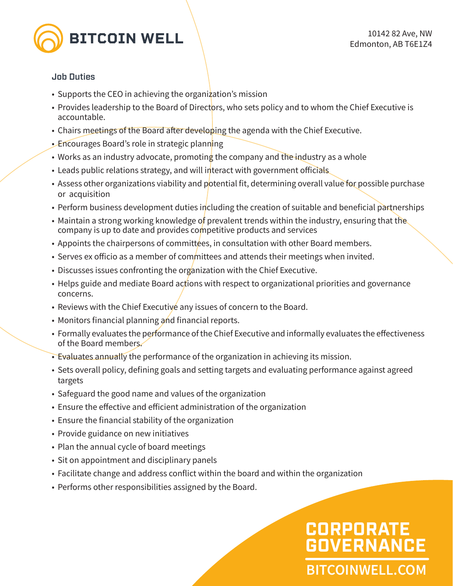

#### Job Duties

- Supports the CEO in achieving the organization's mission
- Provides leadership to the Board of Directors, who sets policy and to whom the Chief Executive is accountable.
- Chairs meetings of the Board after developing the agenda with the Chief Executive.
- Encourages Board's role in strategic planning
- Works as an industry advocate, promoting the company and the industry as a whole
- Leads public relations strategy, and will interact with government officials
- Assess other organizations viability and potential fit, determining overall value for possible purchase or acquisition
- Perform business development duties including the creation of suitable and beneficial partnerships
- Maintain a strong working knowledge of prevalent trends within the industry, ensuring that the company is up to date and provides competitive products and services
- Appoints the chairpersons of committees, in consultation with other Board members.
- Serves ex officio as a member of committees and attends their meetings when invited.
- Discusses issues confronting the organization with the Chief Executive.
- Helps guide and mediate Board actions with respect to organizational priorities and governance concerns.
- Reviews with the Chief Executive any issues of concern to the Board.
- Monitors financial planning and financial reports.
- Formally evaluates the performance of the Chief Executive and informally evaluates the effectiveness of the Board members.
- Evaluates annually the performance of the organization in achieving its mission.
- Sets overall policy, defining goals and setting targets and evaluating performance against agreed targets
- Safeguard the good name and values of the organization
- Ensure the effective and efficient administration of the organization
- Ensure the financial stability of the organization
- Provide guidance on new initiatives
- Plan the annual cycle of board meetings
- Sit on appointment and disciplinary panels
- Facilitate change and address conflict within the board and within the organization
- Performs other responsibilities assigned by the Board.

# **BITCOINWELL.COM CORPORATE GOVERNANCE**